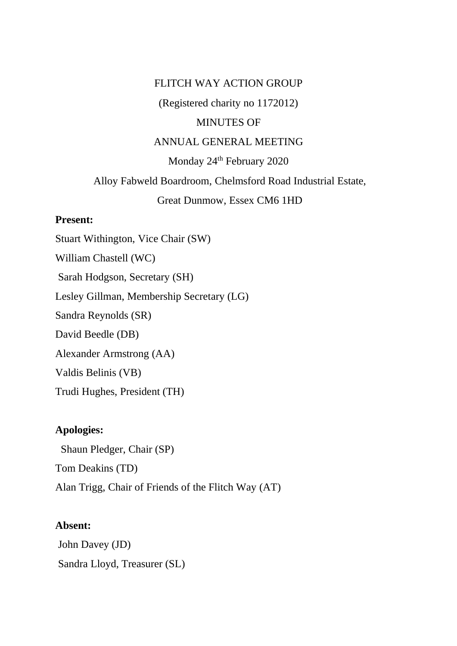### FLITCH WAY ACTION GROUP

(Registered charity no 1172012)

### MINUTES OF

### ANNUAL GENERAL MEETING

## Monday 24<sup>th</sup> February 2020

# Alloy Fabweld Boardroom, Chelmsford Road Industrial Estate, Great Dunmow, Essex CM6 1HD

### **Present:**

Stuart Withington, Vice Chair (SW) William Chastell (WC) Sarah Hodgson, Secretary (SH) Lesley Gillman, Membership Secretary (LG) Sandra Reynolds (SR) David Beedle (DB) Alexander Armstrong (AA) Valdis Belinis (VB) Trudi Hughes, President (TH)

### **Apologies:**

 Shaun Pledger, Chair (SP) Tom Deakins (TD) Alan Trigg, Chair of Friends of the Flitch Way (AT)

### **Absent:**

John Davey (JD) Sandra Lloyd, Treasurer (SL)